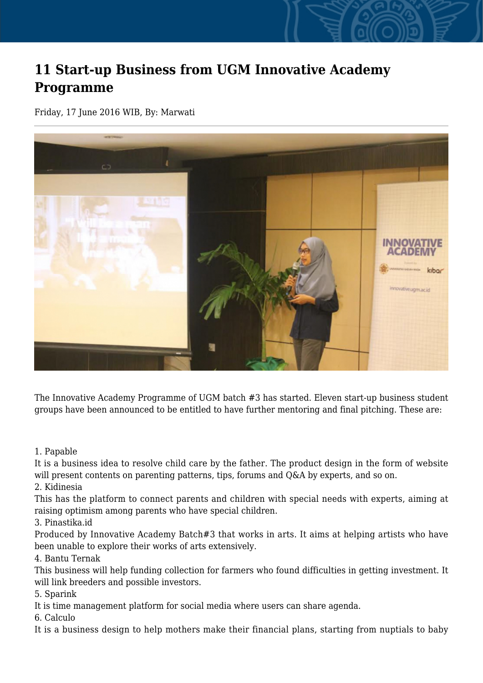## **11 Start-up Business from UGM Innovative Academy Programme**

Friday, 17 June 2016 WIB, By: Marwati



The Innovative Academy Programme of UGM batch #3 has started. Eleven start-up business student groups have been announced to be entitled to have further mentoring and final pitching. These are:

1. Papable

It is a business idea to resolve child care by the father. The product design in the form of website will present contents on parenting patterns, tips, forums and Q&A by experts, and so on.

2. Kidinesia

This has the platform to connect parents and children with special needs with experts, aiming at raising optimism among parents who have special children.

3. Pinastika.id

Produced by Innovative Academy Batch#3 that works in arts. It aims at helping artists who have been unable to explore their works of arts extensively.

4. Bantu Ternak

This business will help funding collection for farmers who found difficulties in getting investment. It will link breeders and possible investors.

5. Sparink

It is time management platform for social media where users can share agenda.

6. Calculo

It is a business design to help mothers make their financial plans, starting from nuptials to baby